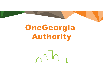# OneGeorgia Authority

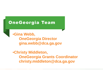### OneGeorgia Team

•**Gina Webb, OneGeorgia Director gina.webb@dca.ga.gov**

•**Christy Middleton, OneGeorgia Grants Coordinator christy.middleton@dca.ga.gov**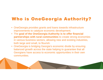## Who is OneGeorgia Authority?

- OneGeorgia provides grants and loans towards infrastructure improvements to catalyze economic development.
- The **goal of the OneGeorgia Authority is to offer financial partnerships with rural communities** to create strong economies in various business sectors, allowing new and existing industries, both large and small, to flourish.
- OneGeorgia is bridging Georgia's economic divide by ensuring balanced growth across the state helping to guarantee that all Georgians have access to economic opportunities in their own communities.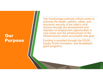### **Our** Purpose

The OneGeorgia Authority (OGA) exists to promote the health, welfare, safety, and economic security of the state's rural citizens through the development and retention of employment opportunities in rural areas and the enhancement of the infrastructures which accomplish that goal.

Funding is provided through the EDGE, Equity, Rural Innovation, and Broadband grant programs.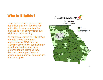#### Who is Eligible?

Local governments, government authorities and joint development authorities in rural counties that experience high poverty rates are eligible for OGA funding.

All counties depicted as 'Eligible' on the map above can submit applications for OGA funding. 'Conditionally eligible' counties may submit applications that have regional benefit, provided they demonstrate support from an adjacent community or communities that are eligible.

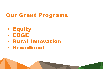# Our Grant Programs

- Equity
- EDGE
- Rural Innovation
- Broadband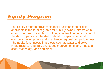# Equity Program

• The Equity program provides financial assistance to eligible applicants in the form of grants for publicly owned infrastructure or loans for projects such as building construction and equipment. Funded projects are intended to develop capacity for local economic development and to enhance regional competitiveness. The Equity fund invests in projects such as water and sewer infrastructure; road, rail, and street improvements; and industrial sites, technology, and equipment.

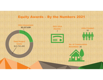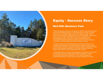

#### Equity - Success Story

#### Red Hills Business Park

• Red Hills Business Park was completed in 2016 in Thomasville Thomas County and includes 293 acres. It was built with city, county and state funds and is now GRAD Ready and shovel ready with water, sewer, electric, roads and fiber provided by the City of Thomasville. Total project costs were \$17 million, \$500,000 of which was provided by the OneGeorgia Authority. The park is owned and operated by the Thomasville Payroll Development Authority and now has four projects committed, all will break ground in the first quarter of 2022.

• Projects include an environmental waste company (12 jobs), an IT company that installs light and sound systems to government, schools, and nonprofits (20 jobs), a high-end wood and cabinet specialist (15 jobs) and the largest project committed is an Ashley Furniture distribution Center which will be 150,000 square feet and 175 jobs.

• Additionally, there are three other prospects in the pipeline, two from the gun industry and one provides organic food for livestock. Last, the Thomasville Development Authority is in the planning stage and considering building a 100,000 square foot spec building in the park.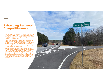#### Enhancing Regional Competitiveness

Piedmont Pkwy

- Piedmont Regional Industrial Park is a publicly owned industrial development. The Park is home to companies such as Hitachi Astemo, Walmart Distribution Center, Tucker Door & Trim, Flexo<br>and Minerva Beauty; combined thes
- The Development Authority of Walton County spent money to<br>provide necessary resources of water, sewer, natural gas,<br>electricity, and fiber optics to attract industries. Three pad-ready<br>sites were created on the interior
- With the help of the OneGeorgia Authority award, Piedmont<br>Regional Industrial Park has an additional entrance which eased<br>traffic flow and allowed for easier access for public safety<br>vehicles, increased employee vehicles investment.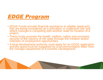

- EDGE Funds provide financial assistance to eligible applicants that are being considered as a relocation or expansion site and where Georgia is competing with another state for location of a project.
- These funds promote the health, welfare, safety and economic security of the citizens of the state through the creation and/or retention of employment opportunities.
- A local development authority must apply for an EDGE application and the grant must be supported by a recommendation letter from the Georgia Department of Economic Development.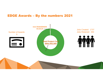#### EDGE Awards – By the numbers 2021

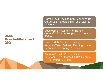#### Jobs Created/Retained 2021

Rome Floyd Development Authority/ Ball Corporation- created 187 jobs/retained 174 jobs

Development Authority of Bartow County/Chick-fil-A Supply LLC- creating 300 jobs

Macon-Bibb County Industrial Authority/Dean Baldwin Painting Limited Partnership, creating 115 jobs

Dalton-Whitfield County Joint Development Authority/GEDIA Georgia, LLC-creating 200 jobs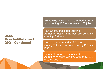#### Jobs Created/Retained 2021 Continued

Rome Floyd Development Authority/Kerry Inc.-creating 120 jobs/retaining 120 jobs

Hart County Industrial Building Authority/Nestle Purina PetCare Companycreating 240 jobs

Development Authority of Gordon County/Teklas USA, Inc- creating 120 new jobs

Emanuel County Development Authority/Wincore Window Company, LLCcreated 250 jobs.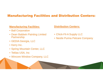#### Manufacturing Facilities and Distribution Centers:

#### **Manufacturing Facilities:**

- Ball Corporation
- Dean Baldwin Painting Limited **Partnership**
- GEDIA Georgia, LLC
- Kerry Inc.
- Spring Mountain Center, LLC
- Teklas USA, Inc
- Wincore Window Company, LLC

#### **Distribution Centers:**

- Chick-Fil-A Supply LLC
- Nestle Purina Petcare Company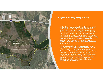

#### Bryon County Mega Site

- In May, OGA in partnership with the Savannah Harbor-Interstate 16 Corridor Joint Development Authority purchased a 2,284-acre economic development site. This strategic purchase of the Bryan County Mega-Site is the largest in state history. OGA participated with EDGE funds as a loan to the community. A total of \$61 million went into the purchase and was made possible by the state reinvesting proceeds from the sale of a Chatham County Economic Development Site to Amazon. Bryan and Chatham County also contributed \$9 million each.
- The Bryan County Mega-Site is strategically located adjacent to I-16 with immediate access from I-95 and I-16 to 250 major metro areas, including Atlanta, Birmingham, Charlotte, Memphis, and Orlando. The site is less than 30 miles from the Port of Savannah, the single-largest and fastest-growing container terminal in the U.S. with two Class I rail facilities on-site. Industrial utilities are adjacent to the site, and extensive due diligence reports have been completed to reduce barriers to speedy operations.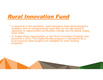# Rural Innovation Fund

- In response to the pandemic, rural Georgians have demonstrated a resiliency and an entrepreneurial spirit that can be harnessed to capitalize on opportunities as lifestyles change and the global supply chain shifts.
- To enable these opportunities, a new Rural Innovation Program was launched in 2021. This highly flexible program is intended to be a local resource when projects are ineligible for other funding programs.

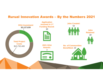#### Rurual Innovation Awards – By the Numbers 2021

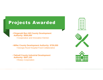### Projects Awarded

- •**Fitzgerald Ben Hill County Development Authority: \$550,000**
	- •Cooperative and Innovative Kitchen

• **Miller County Development Authority: \$750,000** •Georgia Rural Hospital Food Collaborative

•**Tattnall County Industrial Development Authority: \$507,153** •Rotary Corporation